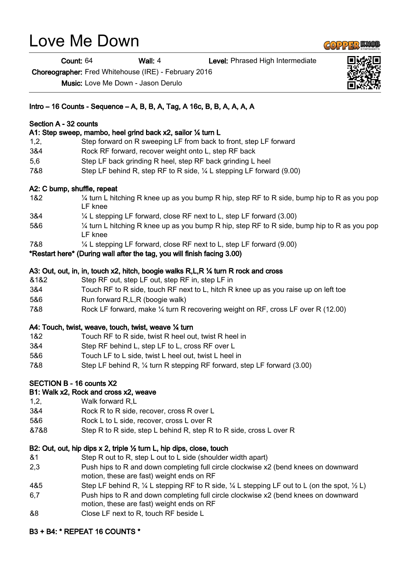# Love Me Down

Count: 64 Wall: 4 Level: Phrased High Intermediate

Choreographer: Fred Whitehouse (IRE) - February 2016

Music: Love Me Down - Jason Derulo

## Intro – 16 Counts - Sequence – A, B, B, A, Tag, A 16c, B, B, A, A, A, A

### Section A - 32 counts

## A1: Step sweep, mambo, heel grind back x2, sailor ¼ turn L

- 1,2, Step forward on R sweeping LF from back to front, step LF forward
- 3&4 Rock RF forward, recover weight onto L, step RF back
- 5,6 Step LF back grinding R heel, step RF back grinding L heel
- 7&8 Step LF behind R, step RF to R side, ¼ L stepping LF forward (9.00)

## A2: C bump, shuffle, repeat

- 1&2 ¼ turn L hitching R knee up as you bump R hip, step RF to R side, bump hip to R as you pop LF knee
- 3&4 ¼ L stepping LF forward, close RF next to L, step LF forward (3.00)
- 5&6 ¼ turn L hitching R knee up as you bump R hip, step RF to R side, bump hip to R as you pop LF knee
- 7&8 ¼ L stepping LF forward, close RF next to L, step LF forward (9.00)

\*Restart here\* (During wall after the tag, you will finish facing 3.00)

#### A3: Out, out, in, in, touch x2, hitch, boogie walks R,L,R ¼ turn R rock and cross

- &1&2 Step RF out, step LF out, step RF in, step LF in
- 3&4 Touch RF to R side, touch RF next to L, hitch R knee up as you raise up on left toe
- 5&6 Run forward R,L,R (boogie walk)
- 7&8 Rock LF forward, make ¼ turn R recovering weight on RF, cross LF over R (12.00)

#### A4: Touch, twist, weave, touch, twist, weave ¼ turn

- 1&2 Touch RF to R side, twist R heel out, twist R heel in
- 3&4 Step RF behind L, step LF to L, cross RF over L
- 5&6 Touch LF to L side, twist L heel out, twist L heel in
- 7&8 Step LF behind R, ¼ turn R stepping RF forward, step LF forward (3.00)

## SECTION B - 16 counts X2

#### B1: Walk x2, Rock and cross x2, weave

- 1,2, Walk forward R,L
- 3&4 Rock R to R side, recover, cross R over L
- 5&6 Rock L to L side, recover, cross L over R
- &7&8 Step R to R side, step L behind R, step R to R side, cross L over R

## B2: Out, out, hip dips x 2, triple ½ turn L, hip dips, close, touch

- &1 Step R out to R, step L out to L side (shoulder width apart)
- 2,3 Push hips to R and down completing full circle clockwise x2 (bend knees on downward motion, these are fast) weight ends on RF
- 4&5 Step LF behind R,  $\frac{1}{4}$  L stepping RF to R side,  $\frac{1}{4}$  L stepping LF out to L (on the spot,  $\frac{1}{2}$  L)
- 6,7 Push hips to R and down completing full circle clockwise x2 (bend knees on downward motion, these are fast) weight ends on RF
- &8 Close LF next to R, touch RF beside L

## B3 + B4: \* REPEAT 16 COUNTS \*